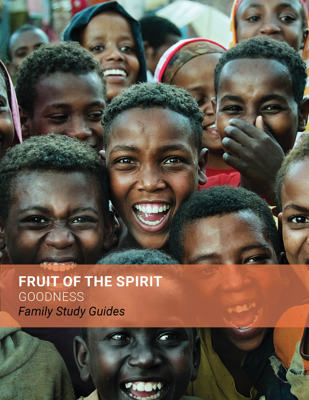**FRUIT OF THE SPIRIT GOODNESS** Family Study Guides

Honor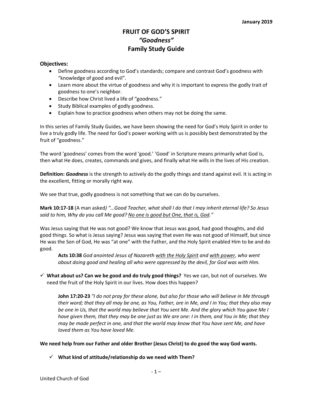## **FRUIT OF GOD'S SPIRIT** *"Goodness"* **Family Study Guide**

#### **Objectives:**

- Define goodness according to God's standards; compare and contrast God's goodness with "knowledge of good and evil".
- Learn more about the virtue of goodness and why it is important to express the godly trait of goodness to one's neighbor.
- Describe how Christ lived a life of "goodness."
- Study Biblical examples of godly goodness.
- Explain how to practice goodness when others may not be doing the same.

In this series of Family Study Guides, we have been showing the need for God's Holy Spirit in order to live a truly godly life. The need for God's power working with us is possibly best demonstrated by the fruit of "goodness."

The word 'goodness' comes from the word 'good.' 'Good' in Scripture means primarily what God is, then what He does, creates, commands and gives, and finally what He wills in the lives of His creation.

**Definition:** *Goodness* is the strength to actively do the godly things and stand against evil. It is acting in the excellent, fitting or morally right way.

We see that true, godly goodness is not something that we can do by ourselves.

#### **Mark 10:17-18** (A man asked*) "…Good Teacher, what shall I do that I may inherit eternal life? So Jesus said to him, Why do you call Me good? No one is good but One, that is, God."*

Was Jesus saying that He was not good? We know that Jesus was good, had good thoughts, and did good things. So what is Jesus saying? Jesus was saying that even He was not good of Himself, but since He was the Son of God, He was "at one" with the Father, and the Holy Spirit enabled Him to be and do good.

**Acts 10:38** *God anointed Jesus of Nazareth with the Holy Spirit and with power, who went about doing good and healing all who were oppressed by the devil, for God was with Him.*

ü **What about us? Can we be good and do truly good things?** Yes we can, but not of ourselves. We need the fruit of the Holy Spirit in our lives. How does this happen?

**John 17:20-23** "I do not pray for these alone, but also for those who will believe in Me through their word; that they all may be one, as You, Father, are in Me, and I in You; that they also may be one in Us, that the world may believe that You sent Me. And the glory which You gave Me I have given them, that they may be one just as We are one: I in them, and You in Me; that they *may be made perfect in one, and that the world may know that You have sent Me, and have loved them as You have loved Me.*

**We need help from our Father and older Brother (Jesus Christ) to do good the way God wants.**

 $\checkmark$  What kind of attitude/relationship do we need with Them?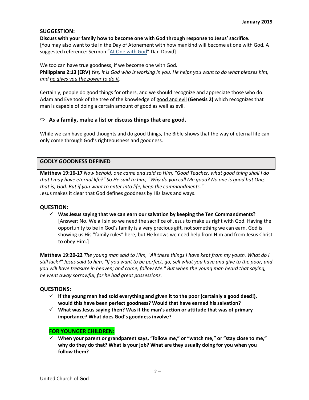## **SUGGESTION:**

#### **Discuss with your family how to become one with God through response to Jesus' sacrifice.**

[You may also want to tie in the Day of Atonement with how mankind will become at one with God. A suggested reference: Sermon "At One with God" Dan Dowd]

#### We too can have true goodness, if we become one with God. Philippians 2:13 (ERV) Yes, it is God who is working in you. He helps you want to do what pleases him, *and he gives you the power to do it.*

Certainly, people do good things for others, and we should recognize and appreciate those who do. Adam and Eve took of the tree of the knowledge of good and evil **(Genesis 2)** which recognizes that man is capable of doing a certain amount of good as well as evil.

## ð **As a family, make a list or discuss things that are good.**

While we can have good thoughts and do good things, the Bible shows that the way of eternal life can only come through God's righteousness and goodness.

## **GODLY GOODNESS DEFINED**

**Matthew 19:16-17** *Now behold, one came and said to Him, "Good Teacher, what good thing shall I do* that I may have eternal life?" So He said to him, "Why do you call Me good? No one is good but One, *that is, God. But if you want to enter into life, keep the commandments."* Jesus makes it clear that God defines goodness by His laws and ways.

## **QUESTION:**

ü **Was Jesus saying that we can earn our salvation by keeping the Ten Commandments?** [Answer: No. We all sin so we need the sacrifice of Jesus to make us right with God. Having the opportunity to be in God's family is a very precious gift, not something we can earn. God is showing us His "family rules" here, but He knows we need help from Him and from Jesus Christ to obey Him.]

Matthew 19:20-22 The young man said to Him, "All these things I have kept from my youth. What do I still lack?" Jesus said to him, "If you want to be perfect, go, sell what you have and give to the poor, and *you will have treasure in heaven; and come, follow Me." But when the young man heard that saying, he went away sorrowful, for he had great possessions.*

## **QUESTIONS:**

- $\checkmark$  If the young man had sold everything and given it to the poor (certainly a good deed!), **would this have been perfect goodness? Would that have earned his salvation?**
- ü **What was Jesus saying then? Was it the man's action or attitude that was of primary importance? What does God's goodness involve?**

## **FOR YOUNGER CHILDREN:**

ü **When your parent or grandparent says, "follow me," or "watch me," or "stay close to me," why do they do that? What is your job? What are they usually doing for you when you follow them?**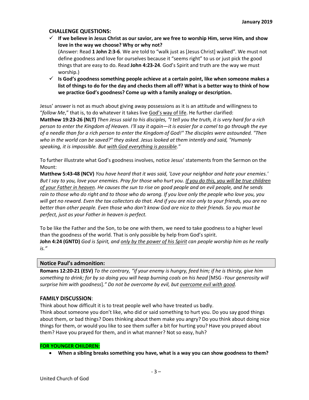#### **CHALLENGE QUESTIONS:**

- $\checkmark$  If we believe in Jesus Christ as our savior, are we free to worship Him, serve Him, and show **love in the way we choose? Why or why not?** (Answer: Read **1 John 2:3-6**. We are told to "walk just as [Jesus Christ] walked". We must not define goodness and love for ourselves because it "seems right" to us or just pick the good things that are easy to do. Read **John 4:23-24**. God's Spirit and truth are the way we must worship.)
- ü **Is God's goodness something people achieve at a certain point, like when someone makes a** list of things to do for the day and checks them all off? What is a better way to think of how **we practice God's goodness? Come up with a family analogy or description.**

Jesus' answer is not as much about giving away possessions as it is an attitude and willingness to "*follow Me*," that is, to do whatever it takes live God's way of life. He further clarified:

Matthew 19:23-26 (NLT) Then Jesus said to his disciples, "I tell you the truth, it is very hard for a rich person to enter the Kingdom of Heaven. I'll say it again—it is easier for a camel to go through the eye of a needle than for a rich person to enter the Kingdom of God!" The disciples were astounded. "Then *who in the world can be saved?" they asked. Jesus looked at them intently and said, "Humanly speaking, it is impossible. But with God everything is possible."*

To further illustrate what God's goodness involves, notice Jesus' statements from the Sermon on the Mount:

**Matthew 5:43-48 (NCV)** *You have heard that it was said, 'Love your neighbor and hate your enemies.'* But I say to you, love your enemies. Pray for those who hurt you. If you do this, you will be true children of your Father in heaven. He causes the sun to rise on good people and on evil people, and he sends rain to those who do right and to those who do wrong. If you love only the people who love you, you will get no reward. Even the tax collectors do that. And if you are nice only to your friends, you are no better than other people. Even those who don't know God are nice to their friends. So you must be *perfect, just as your Father in heaven is perfect.*

To be like the Father and the Son, to be one with them, we need to take goodness to a higher level than the goodness of the world. That is only possible by help from God's spirit. John 4:24 (GNTD) God is Spirit, and only by the power of his Spirit can people worship him as he really *is."*

#### **Notice Paul's admonition:**

Romans 12:20-21 (ESV) To the contrary, "if your enemy is hungry, feed him; if he is thirsty, give him something to drink; for by so doing you will heap burning coals on his head [MSG -Your generosity will *surprise him with goodness*].*" Do not be overcome by evil, but overcome evil with good.*

#### **FAMILY DISCUSSION**:

Think about how difficult it is to treat people well who have treated us badly.

Think about someone you don't like, who did or said something to hurt you. Do you say good things about them, or bad things? Does thinking about them make you angry? Do you think about doing nice things for them, or would you like to see them suffer a bit for hurting you? Have you prayed about them? Have you prayed for them, and in what manner? Not so easy, huh?

#### **FOR YOUNGER CHILDREN:**

• **When a sibling breaks something you have, what is a way you can show goodness to them?**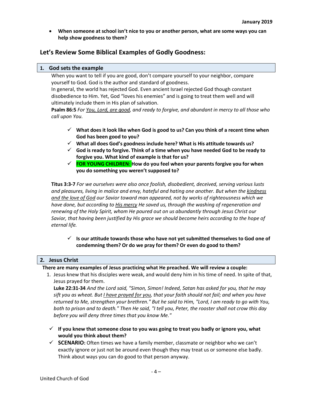• **When someone at school isn't nice to you or another person, what are some ways you can help show goodness to them?**

## **Let's Review Some Biblical Examples of Godly Goodness:**

#### **1. God sets the example**

When you want to tell if you are good, don't compare yourself to your neighbor, compare yourself to God. God is the author and standard of goodness.

In general, the world has rejected God. Even ancient Israel rejected God though constant disobedience to Him. Yet, God "loves his enemies" and is going to treat them well and will ultimately include them in His plan of salvation.

Psalm 86:5 For You, Lord, are good, and ready to forgive, and abundant in mercy to all those who *call upon You.*

- ü **What does it look like when God is good to us? Can you think of a recent time when God has been good to you?**
- ü **What all does God's goodness include here? What is His attitude towards us?**
- ü **God is ready to forgive. Think of a time when you have needed God to be ready to forgive you. What kind of example is that for us?**
- ü **FOR YOUNG CHILDREN**: **How do you feel when your parents forgive you for when you do something you weren't supposed to?**

**Titus 3:3-7** *For we ourselves were also once foolish, disobedient, deceived, serving various lusts and pleasures, living in malice and envy, hateful and hating one another. But when the kindness and the love of God our Savior toward man appeared, not by works of righteousness which we have done, but according to His mercy He saved us, through the washing of regeneration and renewing of the Holy Spirit, whom He poured out on us abundantly through Jesus Christ our Savior, that having been justified by His grace we should become heirs according to the hope of eternal life.*

#### ü **Is our attitude towards those who have not yet submitted themselves to God one of condemning them? Or do we pray for them? Or even do good to them?**

#### **2. Jesus Christ**

 **There are many examples of Jesus practicing what He preached. We will review a couple:**

1. Jesus knew that his disciples were weak, and would deny him in his time of need. In spite of that, Jesus prayed for them.

**Luke 22:31-34** *And the Lord said, "Simon, Simon! Indeed, Satan has asked for you, that he may* sift you as wheat. But *I have prayed for you*, that your faith should not fail; and when you have returned to Me, strengthen your brethren." But he said to Him, "Lord, I am ready to go with You, both to prison and to death." Then He said, "I tell you, Peter, the rooster shall not crow this day *before you will deny three times that you know Me."*

- ü **If you knew that someone close to you was going to treat you badly or ignore you, what would you think about them?**
- ü **SCENARIO:** Often times we have a family member, classmate or neighbor who we can't exactly ignore or just not be around even though they may treat us or someone else badly. Think about ways you can do good to that person anyway.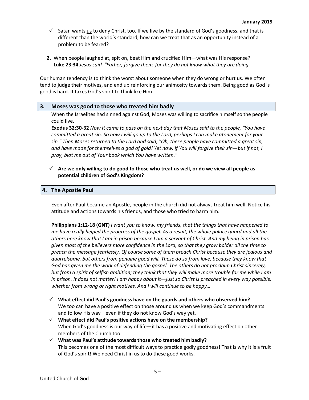- $\checkmark$  Satan wants us to deny Christ, too. If we live by the standard of God's goodness, and that is different than the world's standard, how can we treat that as an opportunity instead of a problem to be feared?
- **2.** When people laughed at, spit on, beat Him and crucified Him—what was His response? **Luke 23:34** *Jesus said, "Father, forgive them, for they do not know what they are doing.*

Our human tendency is to think the worst about someone when they do wrong or hurt us. We often tend to judge their motives, and end up reinforcing our animosity towards them. Being good as God is good is hard. It takes God's spirit to think like Him.

#### **3. Moses was good to those who treated him badly**

When the Israelites had sinned against God, Moses was willing to sacrifice himself so the people could live.

Exodus 32:30-32 Now it came to pass on the next day that Moses said to the people, "You have committed a great sin. So now I will go up to the Lord; perhaps I can make atonement for your *sin." Then Moses returned to the Lord and said, "Oh, these people have committed a great sin,* and have made for themselves a god of gold! Yet now, if You will forgive their sin-but if not, I *pray, blot me out of Your book which You have written."*

 $\checkmark$  Are we only willing to do good to those who treat us well, or do we view all people as **potential children of God's Kingdom?**

#### **4. The Apostle Paul**

Even after Paul became an Apostle, people in the church did not always treat him well. Notice his attitude and actions towards his friends, and those who tried to harm him.

**Philippians 1:12-18 (GNT)** *I want you to know, my friends, that the things that have happened to* me have really helped the progress of the gospel. As a result, the whole palace guard and all the others here know that I am in prison because I am a servant of Christ. And my being in prison has given most of the believers more confidence in the Lord, so that they grow bolder all the time to *preach the message fearlessly. Of course some of them preach Christ because they are jealous and quarrelsome, but others from genuine good will. These do so from love, because they know that God has given me the work of defending the gospel. The others do not proclaim Christ sincerely,* but from a spirit of selfish ambition; they think that they will make more trouble for me while I am in prison. It does not matter! I am happy about it—just so Christ is preached in every way possible, *whether from wrong or right motives. And I will continue to be happy…*

- ü **What effect did Paul's goodness have on the guards and others who observed him?** We too can have a positive effect on those around us when we keep God's commandments and follow His way—even if they do not know God's way yet.
- ü **What effect did Paul's positive actions have on the membership?** When God's goodness is our way of life—it has a positive and motivating effect on other members of the Church too.
- ü **What was Paul's attitude towards those who treated him badly?** This becomes one of the most difficult ways to practice godly goodness! That is why it is a fruit of God's spirit! We need Christ in us to do these good works.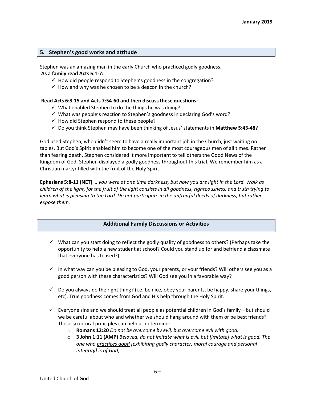#### **5. Stephen's good works and attitude**

Stephen was an amazing man in the early Church who practiced godly goodness. **As a family read Acts 6:1-7:**

- $\checkmark$  How did people respond to Stephen's goodness in the congregation?
- $\checkmark$  How and why was he chosen to be a deacon in the church?

#### **Read Acts 6:8-15 and Acts 7:54-60 and then discuss these questions:**

- $\checkmark$  What enabled Stephen to do the things he was doing?
- $\checkmark$  What was people's reaction to Stephen's goodness in declaring God's word?
- $\checkmark$  How did Stephen respond to these people?
- ü Do you think Stephen may have been thinking of Jesus' statements in **Matthew 5:43-48**?

God used Stephen, who didn't seem to have a really important job in the Church, just waiting on tables. But God's Spirit enabled him to become one of the most courageous men of all times. Rather than fearing death, Stephen considered it more important to tell others the Good News of the Kingdom of God. Stephen displayed a godly goodness throughout this trial. We remember him as a Christian martyr filled with the fruit of the Holy Spirit.

Ephesians 5:8-11 (NET) ... you were at one time darkness, but now you are light in the Lord. Walk as children of the light, for the fruit of the light consists in all goodness, righteousness, and truth trying to learn what is pleasing to the Lord. Do not participate in the unfruitful deeds of darkness, but rather *expose them.*

#### **Additional Family Discussions or Activities**

- $\checkmark$  What can you start doing to reflect the godly quality of goodness to others? (Perhaps take the opportunity to help a new student at school? Could you stand up for and befriend a classmate that everyone has teased?)
- $\checkmark$  In what way can you be pleasing to God, your parents, or your friends? Will others see you as a good person with these characteristics? Will God see you in a favorable way?
- $\checkmark$  Do you always do the right thing? (i.e. be nice, obey your parents, be happy, share your things, etc). True goodness comes from God and His help through the Holy Spirit.
- $\checkmark$  Everyone sins and we should treat all people as potential children in God's family—but should we be careful about who and whether we should hang around with them or be best friends? These scriptural principles can help us determine:
	- o **Romans 12:20** *Do not be overcome by evil, but overcome evil with good.*
	- o **3 John 1:11 (AMP)** *Beloved, do not imitate what is evil, but [imitate] what is good. The one who practices good [exhibiting godly character, moral courage and personal integrity] is of God;*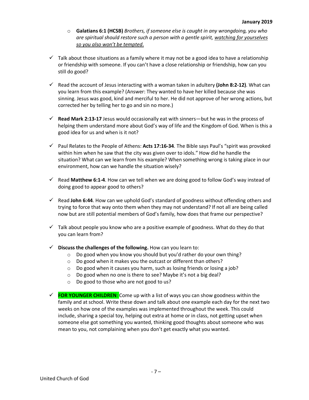- o **Galatians 6:1 (HCSB)** *Brothers, if someone else is caught in any wrongdoing, you who are spiritual should restore such a person with a gentle spirit, watching for yourselves so you also won't be tempted*.
- $\checkmark$  Talk about those situations as a family where it may not be a good idea to have a relationship or friendship with someone. If you can't have a close relationship or friendship, how can you still do good?
- $\checkmark$  Read the account of Jesus interacting with a woman taken in adultery **(John 8:2-12)**. What can you learn from this example? (Answer: They wanted to have her killed because she was sinning. Jesus was good, kind and merciful to her. He did not approve of her wrong actions, but corrected her by telling her to go and sin no more.)
- ü **Read Mark 2:13-17** Jesus would occasionally eat with sinners—but he was in the process of helping them understand more about God's way of life and the Kingdom of God. When is this a good idea for us and when is it not?
- ü Paul Relates to the People of Athens: **Acts 17:16-34**. The Bible says Paul's "spirit was provoked within him when he saw that the city was given over to idols." How did he handle the situation? What can we learn from his example? When something wrong is taking place in our environment, how can we handle the situation wisely?
- $\checkmark$  Read Matthew 6:1-4. How can we tell when we are doing good to follow God's way instead of doing good to appear good to others?
- $\checkmark$  Read John 6:44. How can we uphold God's standard of goodness without offending others and trying to force that way onto them when they may not understand? If not all are being called now but are still potential members of God's family, how does that frame our perspective?
- $\checkmark$  Talk about people you know who are a positive example of goodness. What do they do that you can learn from?
- $\checkmark$  Discuss the challenges of the following. How can you learn to:
	- o Do good when you know you should but you'd rather do your own thing?
	- o Do good when it makes you the outcast or different than others?
	- o Do good when it causes you harm, such as losing friends or losing a job?
	- o Do good when no one is there to see? Maybe it's not a big deal?
	- o Do good to those who are not good to us?
- ü **FOR YOUNGER CHILDREN**: Come up with a list of ways you can show goodness within the family and at school. Write these down and talk about one example each day for the next two weeks on how one of the examples was implemented throughout the week. This could include, sharing a special toy, helping out extra at home or in class, not getting upset when someone else got something you wanted, thinking good thoughts about someone who was mean to you, not complaining when you don't get exactly what you wanted.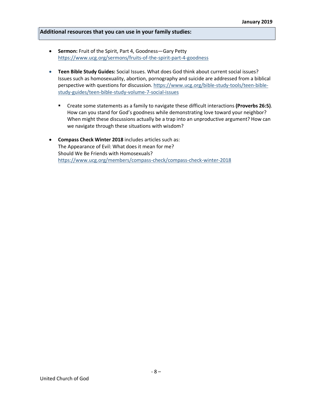#### **Additional resources that you can use in your family studies:**

- **Sermon:** Fruit of the Spirit, Part 4, Goodness—Gary Petty https://www.ucg.org/sermons/fruits-of-the-spirit-part-4-goodness
- **Teen Bible Study Guides:** Social Issues. What does God think about current social issues? Issues such as homosexuality, abortion, pornography and suicide are addressed from a biblical perspective with questions for discussion. https://www.ucg.org/bible-study-tools/teen-biblestudy-guides/teen-bible-study-volume-7-social-issues
	- § Create some statements as a family to navigate these difficult interactions **(Proverbs 26:5)**. How can you stand for God's goodness while demonstrating love toward your neighbor? When might these discussions actually be a trap into an unproductive argument? How can we navigate through these situations with wisdom?
- **Compass Check Winter 2018** includes articles such as: The Appearance of Evil: What does it mean for me? Should We Be Friends with Homosexuals? https://www.ucg.org/members/compass-check/compass-check-winter-2018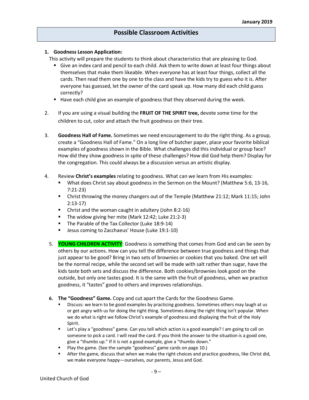#### **1. Goodness Lesson Application:**

This activity will prepare the students to think about characteristics that are pleasing to God.

- Give an index card and pencil to each child. Ask them to write down at least four things about themselves that make them likeable. When everyone has at least four things, collect all the cards. Then read them one by one to the class and have the kids try to guess who it is. After everyone has guessed, let the owner of the card speak up. How many did each child guess correctly?
- Have each child give an example of goodness that they observed during the week.
- 2. If you are using a visual building the **FRUIT OF THE SPIRIT tree,** devote some time for the children to cut, color and attach the fruit goodness on their tree.
- 3. **Goodness Hall of Fame.** Sometimes we need encouragement to do the right thing. As a group, create a "Goodness Hall of Fame." On a long line of butcher paper, place your favorite biblical examples of goodness shown in the Bible. What challenges did this individual or group face? How did they show goodness in spite of these challenges? How did God help them? Display for the congregation. This could always be a discussion versus an artistic display.
- 4. Review **Christ's examples** relating to goodness. What can we learn from His examples:
	- What does Christ say about goodness in the Sermon on the Mount? (Matthew 5:6, 13-16, 7:21-23)
	- § Christ throwing the money changers out of the Temple (Matthew 21:12; Mark 11:15; John 2:13-17)
	- Christ and the woman caught in adultery (John 8:2-16)
	- The widow giving her mite (Mark 12:42; Luke 21:2-3)
	- The Parable of the Tax Collector (Luke 18:9-14)
	- Jesus coming to Zacchaeus' House (Luke 19:1-10)
	- 5. **YOUNG CHILDREN ACTIVITY**: Goodness is something that comes from God and can be seen by others by our actions. How can you tell the difference between true goodness and things that just appear to be good? Bring in two sets of brownies or cookies that you baked. One set will be the normal recipe, while the second set will be made with salt rather than sugar, have the kids taste both sets and discuss the difference. Both cookies/brownies look good on the outside, but only one tastes good. It is the same with the fruit of goodness, when we practice goodness, it "tastes" good to others and improves relationships.
	- **6. The "Goodness" Game.** Copy and cut apart the Cards for the Goodness Game.
		- Discuss: we learn to be good examples by practicing goodness. Sometimes others may laugh at us or get angry with us for doing the right thing. Sometimes doing the right thing isn't popular. When we do what is right we follow Christ's example of goodness and displaying the fruit of the Holy Spirit.
		- Let's play a "goodness" game. Can you tell which action is a good example? I am going to call on someone to pick a card. I will read the card. If you think the answer to the situation is a good one, give a "thumbs up." If it is not a good example, give a "thumbs down."
		- § Play the game. (See the sample "goodness" game cards on page 10.)
		- After the game, discuss that when we make the right choices and practice goodness, like Christ did, we make everyone happy—ourselves, our parents, Jesus and God.